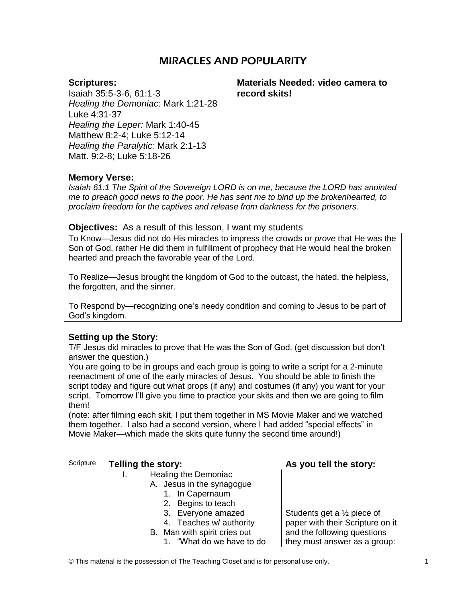# MIRACLES AND POPULARITY

### **Scriptures:**

Isaiah 35:5-3-6, 61:1-3 *Healing the Demoniac*: Mark 1:21-28 Luke 4:31-37 *Healing the Leper:* Mark 1:40-45 Matthew 8:2-4; Luke 5:12-14 *Healing the Paralytic:* Mark 2:1-13 Matt. 9:2-8; Luke 5:18-26

**Materials Needed: video camera to record skits!**

## **Memory Verse:**

*Isaiah 61:1 The Spirit of the Sovereign LORD is on me, because the LORD has anointed me to preach good news to the poor. He has sent me to bind up the brokenhearted, to proclaim freedom for the captives and release from darkness for the prisoners.*

#### **Objectives:** As a result of this lesson, I want my students

To Know—Jesus did not do His miracles to impress the crowds or *prove* that He was the Son of God, rather He did them in fulfillment of prophecy that He would heal the broken hearted and preach the favorable year of the Lord.

To Realize—Jesus brought the kingdom of God to the outcast, the hated, the helpless, the forgotten, and the sinner.

To Respond by—recognizing one's needy condition and coming to Jesus to be part of God's kingdom.

#### **Setting up the Story:**

T/F Jesus did miracles to prove that He was the Son of God. (get discussion but don't answer the question.)

You are going to be in groups and each group is going to write a script for a 2-minute reenactment of one of the early miracles of Jesus. You should be able to finish the script today and figure out what props (if any) and costumes (if any) you want for your script. Tomorrow I'll give you time to practice your skits and then we are going to film them!

(note: after filming each skit, I put them together in MS Movie Maker and we watched them together. I also had a second version, where I had added "special effects" in Movie Maker—which made the skits quite funny the second time around!)

# Scripture **Telling the story: As you tell the story:**

#### I. Healing the Demoniac

- A. Jesus in the synagogue
	- 1. In Capernaum
	- 2. Begins to teach
	- 3. Everyone amazed
	- 4. Teaches w/ authority
- B. Man with spirit cries out
	- 1. "What do we have to do

Students get a ½ piece of paper with their Scripture on it and the following questions they must answer as a group:

© This material is the possession of The Teaching Closet and is for personal use only. 1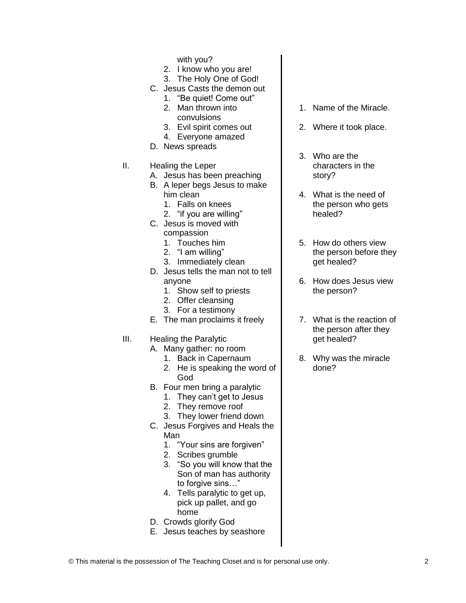with you?

- 2. I know who you are!
- 3. The Holy One of God!
- C. Jesus Casts the demon out
	- 1. "Be quiet! Come out" 2. Man thrown into
	- convulsions
	- 3. Evil spirit comes out
	- 4. Everyone amazed
- D. News spreads
- II. Healing the Leper
	- A. Jesus has been preaching
	- B. A leper begs Jesus to make him clean
		- 1. Falls on knees
		- 2. "if you are willing"
	- C. Jesus is moved with compassion
		- 1. Touches him
		- 2. "I am willing"
		- 3. Immediately clean
	- D. Jesus tells the man not to tell anyone
		- 1. Show self to priests
		- 2. Offer cleansing
		- 3. For a testimony
	- E. The man proclaims it freely
- III. Healing the Paralytic
	- A. Many gather: no room
		- 1. Back in Capernaum
		- 2. He is speaking the word of God
	- B. Four men bring a paralytic
		- 1. They can't get to Jesus
		- 2. They remove roof
		- 3. They lower friend down
	- C. Jesus Forgives and Heals the Man
		- 1. "Your sins are forgiven"
		- 2. Scribes grumble
		- 3. "So you will know that the Son of man has authority to forgive sins…"
		- 4. Tells paralytic to get up, pick up pallet, and go home
	- D. Crowds glorify God
	- E. Jesus teaches by seashore
- 1. Name of the Miracle.
- 2. Where it took place.
- 3. Who are the characters in the story?
- 4. What is the need of the person who gets healed?
- 5. How do others view the person before they get healed?
- 6. How does Jesus view the person?
- 7. What is the reaction of the person after they get healed?
- 8. Why was the miracle done?